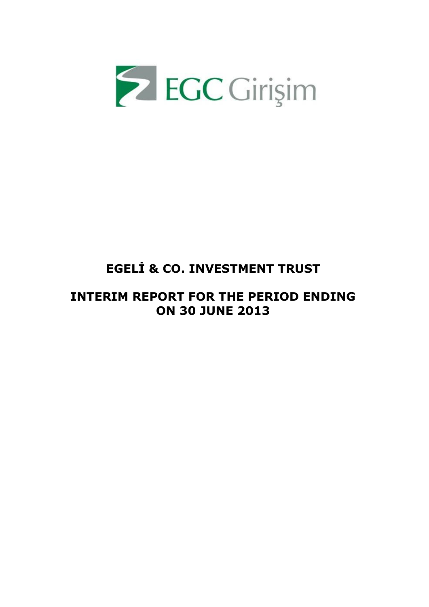

# **EGELİ & CO. INVESTMENT TRUST**

# **INTERIM REPORT FOR THE PERIOD ENDING ON 30 JUNE 2013**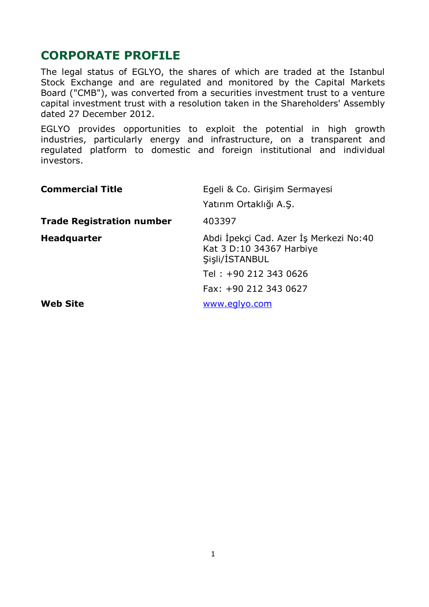# **CORPORATE PROFILE**

The legal status of EGLYO, the shares of which are traded at the Istanbul Stock Exchange and are regulated and monitored by the Capital Markets Board ("CMB"), was converted from a securities investment trust to a venture capital investment trust with a resolution taken in the Shareholders' Assembly dated 27 December 2012.

EGLYO provides opportunities to exploit the potential in high growth industries, particularly energy and infrastructure, on a transparent and regulated platform to domestic and foreign institutional and individual investors.

| <b>Commercial Title</b>          | Egeli & Co. Girişim Sermayesi<br>Yatırım Ortaklığı A.Ş.                              |
|----------------------------------|--------------------------------------------------------------------------------------|
| <b>Trade Registration number</b> | 403397                                                                               |
| <b>Headquarter</b>               | Abdi İpekçi Cad. Azer İş Merkezi No:40<br>Kat 3 D:10 34367 Harbiye<br>Sisli/İSTANBUL |
|                                  | Tel: +90 212 343 0626                                                                |
|                                  | Fax: +90 212 343 0627                                                                |
| <b>Web Site</b>                  | www.eglyo.com                                                                        |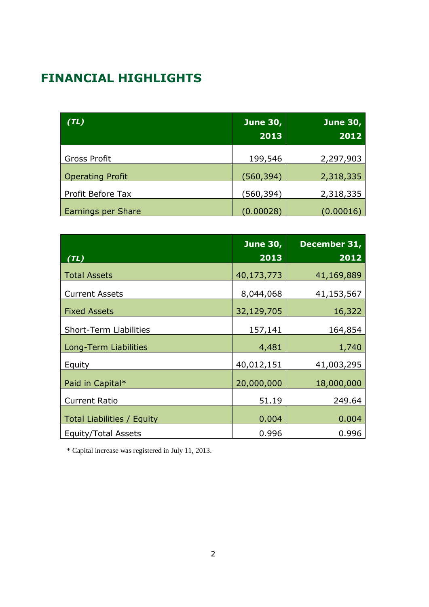# **FINANCIAL HIGHLIGHTS**

| (TL)                    | <b>June 30,</b><br>2013 | <b>June 30,</b><br>2012 |
|-------------------------|-------------------------|-------------------------|
| <b>Gross Profit</b>     | 199,546                 | 2,297,903               |
| <b>Operating Profit</b> | (560,394)               | 2,318,335               |
| Profit Before Tax       | (560,394)               | 2,318,335               |
| Earnings per Share      | (0.00028)               | (0.00016)               |

|                                   | <b>June 30,</b> | December 31, |
|-----------------------------------|-----------------|--------------|
| (TL)                              | 2013            | 2012         |
| <b>Total Assets</b>               | 40,173,773      | 41,169,889   |
| <b>Current Assets</b>             | 8,044,068       | 41,153,567   |
| <b>Fixed Assets</b>               | 32,129,705      | 16,322       |
| <b>Short-Term Liabilities</b>     | 157,141         | 164,854      |
| Long-Term Liabilities             | 4,481           | 1,740        |
| Equity                            | 40,012,151      | 41,003,295   |
| Paid in Capital*                  | 20,000,000      | 18,000,000   |
| <b>Current Ratio</b>              | 51.19           | 249.64       |
| <b>Total Liabilities / Equity</b> | 0.004           | 0.004        |
| Equity/Total Assets               | 0.996           | 0.996        |

\* Capital increase was registered in July 11, 2013.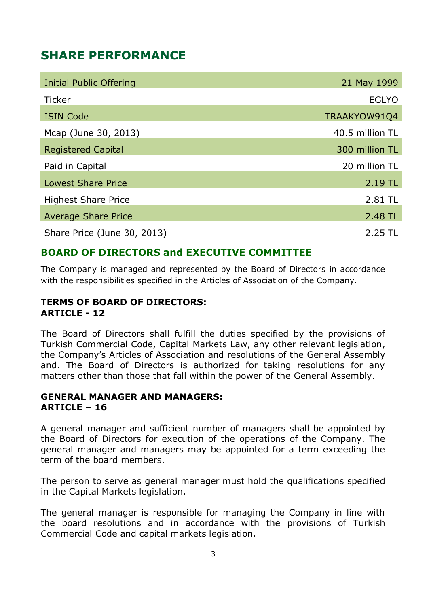# **SHARE PERFORMANCE**

| Initial Public Offering     | 21 May 1999     |
|-----------------------------|-----------------|
| <b>Ticker</b>               | <b>EGLYO</b>    |
| <b>ISIN Code</b>            | TRAAKYOW91Q4    |
| Mcap (June 30, 2013)        | 40.5 million TL |
| <b>Registered Capital</b>   | 300 million TL  |
| Paid in Capital             | 20 million TL   |
| <b>Lowest Share Price</b>   | 2.19 TL         |
| <b>Highest Share Price</b>  | 2.81 TL         |
| <b>Average Share Price</b>  | 2.48 TL         |
| Share Price (June 30, 2013) | 2.25 TL         |

## **BOARD OF DIRECTORS and EXECUTIVE COMMITTEE**

The Company is managed and represented by the Board of Directors in accordance with the responsibilities specified in the Articles of Association of the Company.

### **TERMS OF BOARD OF DIRECTORS: ARTICLE - 12**

The Board of Directors shall fulfill the duties specified by the provisions of Turkish Commercial Code, Capital Markets Law, any other relevant legislation, the Company's Articles of Association and resolutions of the General Assembly and. The Board of Directors is authorized for taking resolutions for any matters other than those that fall within the power of the General Assembly.

### **GENERAL MANAGER AND MANAGERS: ARTICLE – 16**

A general manager and sufficient number of managers shall be appointed by the Board of Directors for execution of the operations of the Company. The general manager and managers may be appointed for a term exceeding the term of the board members.

The person to serve as general manager must hold the qualifications specified in the Capital Markets legislation.

The general manager is responsible for managing the Company in line with the board resolutions and in accordance with the provisions of Turkish Commercial Code and capital markets legislation.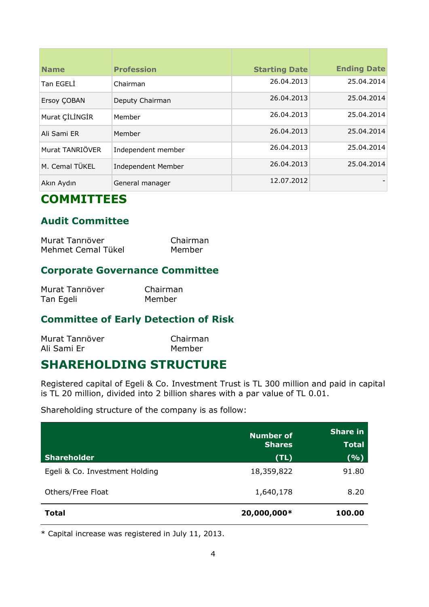| <b>Name</b>     | <b>Profession</b>  | <b>Starting Date</b> | <b>Ending Date</b> |
|-----------------|--------------------|----------------------|--------------------|
| Tan EGELI       | Chairman           | 26.04.2013           | 25.04.2014         |
| Ersoy COBAN     | Deputy Chairman    | 26.04.2013           | 25.04.2014         |
| Murat ÇİLİNGİR  | Member             | 26.04.2013           | 25.04.2014         |
| Ali Sami ER     | Member             | 26.04.2013           | 25.04.2014         |
| Murat TANRIÖVER | Independent member | 26.04.2013           | 25.04.2014         |
| M. Cemal TÜKEL  | Independent Member | 26.04.2013           | 25.04.2014         |
| Akın Aydın      | General manager    | 12.07.2012           |                    |

# **COMMITTEES**

# **Audit Committee**

| Murat Tanrıöver    | Chairman |
|--------------------|----------|
| Mehmet Cemal Tükel | Member   |

## **Corporate Governance Committee**

| Murat Tanrıöver | Chairman |
|-----------------|----------|
| Tan Egeli       | Member   |

## **Committee of Early Detection of Risk**

| Murat Tanrıöver | Chairman |
|-----------------|----------|
| Ali Sami Er     | Member   |

# **SHAREHOLDING STRUCTURE**

Registered capital of Egeli & Co. Investment Trust is TL 300 million and paid in capital is TL 20 million, divided into 2 billion shares with a par value of TL 0.01.

Shareholding structure of the company is as follow:

|                                | <b>Number of</b><br><b>Shares</b> | <b>Share in</b><br><b>Total</b> |
|--------------------------------|-----------------------------------|---------------------------------|
| <b>Shareholder</b>             | (TL)                              | ( %)                            |
| Egeli & Co. Investment Holding | 18,359,822                        | 91.80                           |
| Others/Free Float              | 1,640,178                         | 8.20                            |
| <b>Total</b>                   | 20,000,000*                       | 100.00                          |

\* Capital increase was registered in July 11, 2013.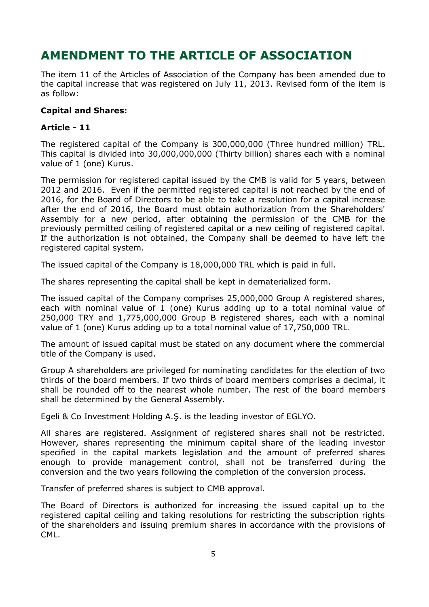# **AMENDMENT TO THE ARTICLE OF ASSOCIATION**

The item 11 of the Articles of Association of the Company has been amended due to the capital increase that was registered on July 11, 2013. Revised form of the item is as follow:

#### **Capital and Shares:**

#### **Article - 11**

The registered capital of the Company is 300,000,000 (Three hundred million) TRL. This capital is divided into 30,000,000,000 (Thirty billion) shares each with a nominal value of 1 (one) Kurus.

The permission for registered capital issued by the CMB is valid for 5 years, between 2012 and 2016. Even if the permitted registered capital is not reached by the end of 2016, for the Board of Directors to be able to take a resolution for a capital increase after the end of 2016, the Board must obtain authorization from the Shareholders' Assembly for a new period, after obtaining the permission of the CMB for the previously permitted ceiling of registered capital or a new ceiling of registered capital. If the authorization is not obtained, the Company shall be deemed to have left the registered capital system.

The issued capital of the Company is 18,000,000 TRL which is paid in full.

The shares representing the capital shall be kept in dematerialized form.

The issued capital of the Company comprises 25,000,000 Group A registered shares, each with nominal value of 1 (one) Kurus adding up to a total nominal value of 250,000 TRY and 1,775,000,000 Group B registered shares, each with a nominal value of 1 (one) Kurus adding up to a total nominal value of 17,750,000 TRL.

The amount of issued capital must be stated on any document where the commercial title of the Company is used.

Group A shareholders are privileged for nominating candidates for the election of two thirds of the board members. If two thirds of board members comprises a decimal, it shall be rounded off to the nearest whole number. The rest of the board members shall be determined by the General Assembly.

Egeli & Co Investment Holding A.Ş. is the leading investor of EGLYO.

All shares are registered. Assignment of registered shares shall not be restricted. However, shares representing the minimum capital share of the leading investor specified in the capital markets legislation and the amount of preferred shares enough to provide management control, shall not be transferred during the conversion and the two years following the completion of the conversion process.

Transfer of preferred shares is subject to CMB approval.

The Board of Directors is authorized for increasing the issued capital up to the registered capital ceiling and taking resolutions for restricting the subscription rights of the shareholders and issuing premium shares in accordance with the provisions of CML.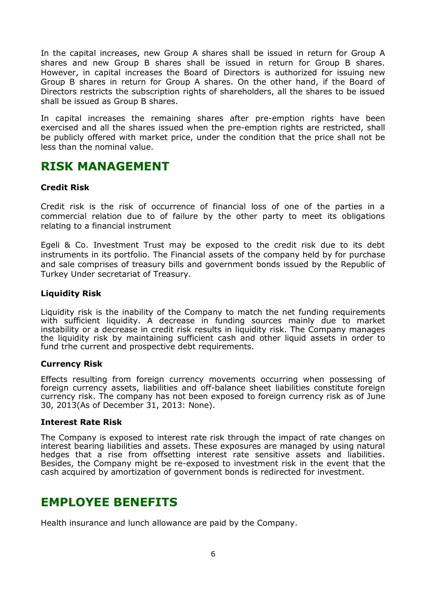In the capital increases, new Group A shares shall be issued in return for Group A shares and new Group B shares shall be issued in return for Group B shares. However, in capital increases the Board of Directors is authorized for issuing new Group B shares in return for Group A shares. On the other hand, if the Board of Directors restricts the subscription rights of shareholders, all the shares to be issued shall be issued as Group B shares.

In capital increases the remaining shares after pre-emption rights have been exercised and all the shares issued when the pre-emption rights are restricted, shall be publicly offered with market price, under the condition that the price shall not be less than the nominal value.

## **RISK MANAGEMENT**

#### **Credit Risk**

Credit risk is the risk of occurrence of financial loss of one of the parties in a commercial relation due to of failure by the other party to meet its obligations relating to a financial instrument

Egeli & Co. Investment Trust may be exposed to the credit risk due to its debt instruments in its portfolio. The Financial assets of the company held by for purchase and sale comprises of treasury bills and government bonds issued by the Republic of Turkey Under secretariat of Treasury.

#### **Liquidity Risk**

Liquidity risk is the inability of the Company to match the net funding requirements with sufficient liquidity. A decrease in funding sources mainly due to market instability or a decrease in credit risk results in liquidity risk. The Company manages the liquidity risk by maintaining sufficient cash and other liquid assets in order to fund trhe current and prospective debt requirements.

#### **Currency Risk**

Effects resulting from foreign currency movements occurring when possessing of foreign currency assets, liabilities and off-balance sheet liabilities constitute foreign currency risk. The company has not been exposed to foreign currency risk as of June 30, 2013(As of December 31, 2013: None).

#### **Interest Rate Risk**

The Company is exposed to interest rate risk through the impact of rate changes on interest bearing liabilities and assets. These exposures are managed by using natural hedges that a rise from offsetting interest rate sensitive assets and liabilities. Besides, the Company might be re-exposed to investment risk in the event that the cash acquired by amortization of government bonds is redirected for investment.

# **EMPLOYEE BENEFITS**

Health insurance and lunch allowance are paid by the Company.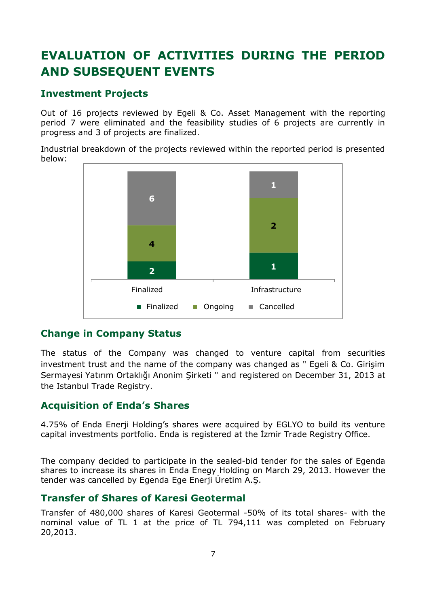# **EVALUATION OF ACTIVITIES DURING THE PERIOD AND SUBSEQUENT EVENTS**

## **Investment Projects**

Out of 16 projects reviewed by Egeli & Co. Asset Management with the reporting period 7 were eliminated and the feasibility studies of 6 projects are currently in progress and 3 of projects are finalized.

Industrial breakdown of the projects reviewed within the reported period is presented below:



### **Change in Company Status**

The status of the Company was changed to venture capital from securities investment trust and the name of the company was changed as " Egeli & Co. Girişim Sermayesi Yatırım Ortaklığı Anonim Şirketi " and registered on December 31, 2013 at the Istanbul Trade Registry.

### **Acquisition of Enda's Shares**

4.75% of Enda Enerji Holding's shares were acquired by EGLYO to build its venture capital investments portfolio. Enda is registered at the İzmir Trade Registry Office.

The company decided to participate in the sealed-bid tender for the sales of Egenda shares to increase its shares in Enda Enegy Holding on March 29, 2013. However the tender was cancelled by Egenda Ege Enerji Üretim A.Ş.

### **Transfer of Shares of Karesi Geotermal**

Transfer of 480,000 shares of Karesi Geotermal -50% of its total shares- with the nominal value of TL 1 at the price of TL 794,111 was completed on February 20,2013.